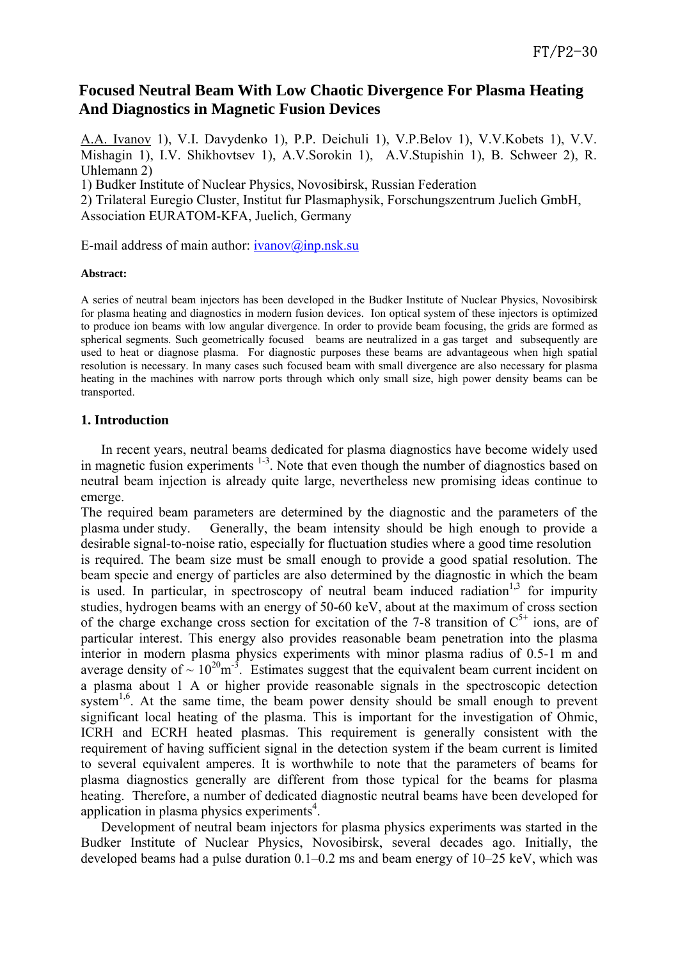# **Focused Neutral Beam With Low Chaotic Divergence For Plasma Heating And Diagnostics in Magnetic Fusion Devices**

A.A. Ivanov 1), V.I. Davydenko 1), P.P. Deichuli 1), V.P.Belov 1), V.V.Kobets 1), V.V. Mishagin 1), I.V. Shikhovtsev 1), A.V.Sorokin 1), A.V.Stupishin 1), B. Schweer 2), R. Uhlemann 2)

1) Budker Institute of Nuclear Physics, Novosibirsk, Russian Federation

2) Trilateral Euregio Cluster, Institut fur Plasmaphysik, Forschungszentrum Juelich GmbH, Association EURATOM-KFA, Juelich, Germany

E-mail address of main author:  $ivanov@inp.nsk.su$ 

#### **Abstract:**

A series of neutral beam injectors has been developed in the Budker Institute of Nuclear Physics, Novosibirsk for plasma heating and diagnostics in modern fusion devices. Ion optical system of these injectors is optimized to produce ion beams with low angular divergence. In order to provide beam focusing, the grids are formed as spherical segments. Such geometrically focused beams are neutralized in a gas target and subsequently are used to heat or diagnose plasma. For diagnostic purposes these beams are advantageous when high spatial resolution is necessary. In many cases such focused beam with small divergence are also necessary for plasma heating in the machines with narrow ports through which only small size, high power density beams can be transported.

## **1. Introduction**

In recent years, neutral beams dedicated for plasma diagnostics have become widely used in magnetic fusion experiments <sup>1-3</sup>. Note that even though the number of diagnostics based on neutral beam injection is already quite large, nevertheless new promising ideas continue to emerge.

The required beam parameters are determined by the diagnostic and the parameters of the plasma under study. Generally, the beam intensity should be high enough to provide a desirable signal-to-noise ratio, especially for fluctuation studies where a good time resolution is required. The beam size must be small enough to provide a good spatial resolution. The beam specie and energy of particles are also determined by the diagnostic in which the beam is used. In particular, in spectroscopy of neutral beam induced radiation<sup>1,3</sup> for impurity studies, hydrogen beams with an energy of 50-60 keV, about at the maximum of cross section of the charge exchange cross section for excitation of the 7-8 transition of  $C^{5+}$  ions, are of particular interest. This energy also provides reasonable beam penetration into the plasma interior in modern plasma physics experiments with minor plasma radius of 0.5-1 m and average density of  $\sim 10^{20}$ m<sup>-3</sup>. Estimates suggest that the equivalent beam current incident on a plasma about 1 A or higher provide reasonable signals in the spectroscopic detection system<sup>1,6</sup>. At the same time, the beam power density should be small enough to prevent significant local heating of the plasma. This is important for the investigation of Ohmic, ICRH and ECRH heated plasmas. This requirement is generally consistent with the requirement of having sufficient signal in the detection system if the beam current is limited to several equivalent amperes. It is worthwhile to note that the parameters of beams for plasma diagnostics generally are different from those typical for the beams for plasma heating. Therefore, a number of dedicated diagnostic neutral beams have been developed for application in plasma physics experiments $4$ .

Development of neutral beam injectors for plasma physics experiments was started in the Budker Institute of Nuclear Physics, Novosibirsk, several decades ago. Initially, the developed beams had a pulse duration 0.1–0.2 ms and beam energy of 10–25 keV, which was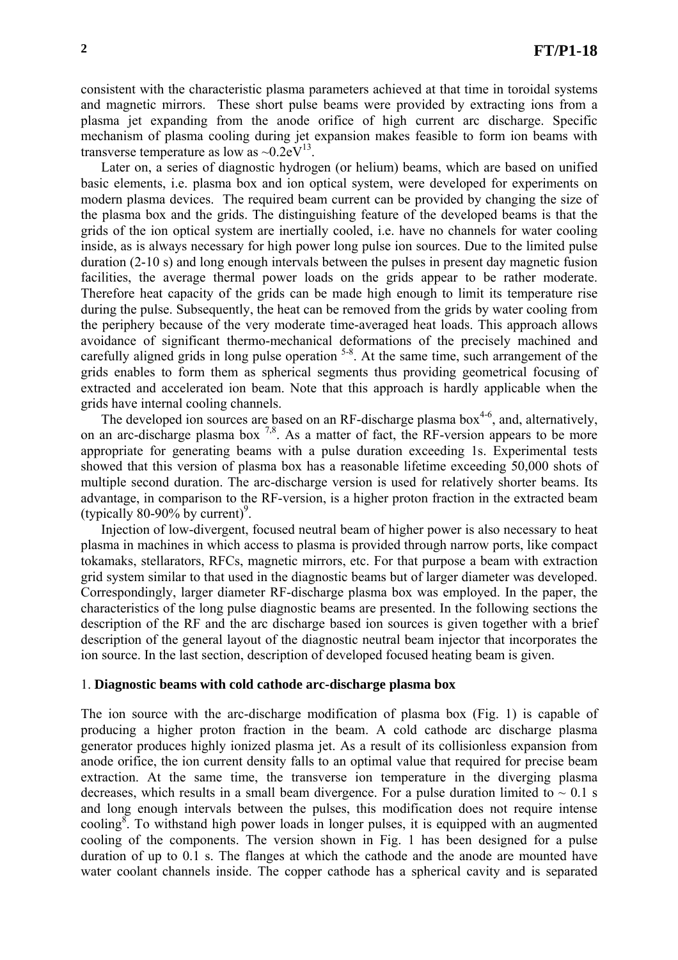consistent with the characteristic plasma parameters achieved at that time in toroidal systems and magnetic mirrors. These short pulse beams were provided by extracting ions from a plasma jet expanding from the anode orifice of high current arc discharge. Specific mechanism of plasma cooling during jet expansion makes feasible to form ion beams with transverse temperature as low as  $\sim 0.2 \text{eV}^{13}$ .

Later on, a series of diagnostic hydrogen (or helium) beams, which are based on unified basic elements, i.e. plasma box and ion optical system, were developed for experiments on modern plasma devices. The required beam current can be provided by changing the size of the plasma box and the grids. The distinguishing feature of the developed beams is that the grids of the ion optical system are inertially cooled, i.e. have no channels for water cooling inside, as is always necessary for high power long pulse ion sources. Due to the limited pulse duration (2-10 s) and long enough intervals between the pulses in present day magnetic fusion facilities, the average thermal power loads on the grids appear to be rather moderate. Therefore heat capacity of the grids can be made high enough to limit its temperature rise during the pulse. Subsequently, the heat can be removed from the grids by water cooling from the periphery because of the very moderate time-averaged heat loads. This approach allows avoidance of significant thermo-mechanical deformations of the precisely machined and carefully aligned grids in long pulse operation <sup>5-8</sup>. At the same time, such arrangement of the grids enables to form them as spherical segments thus providing geometrical focusing of extracted and accelerated ion beam. Note that this approach is hardly applicable when the grids have internal cooling channels.

The developed ion sources are based on an RF-discharge plasma box<sup>4-6</sup>, and, alternatively, on an arc-discharge plasma box  $^{7,8}$ . As a matter of fact, the RF-version appears to be more appropriate for generating beams with a pulse duration exceeding 1s. Experimental tests showed that this version of plasma box has a reasonable lifetime exceeding 50,000 shots of multiple second duration. The arc-discharge version is used for relatively shorter beams. Its advantage, in comparison to the RF-version, is a higher proton fraction in the extracted beam (typically  $80-90\%$  by current)<sup>9</sup>.

Injection of low-divergent, focused neutral beam of higher power is also necessary to heat plasma in machines in which access to plasma is provided through narrow ports, like compact tokamaks, stellarators, RFCs, magnetic mirrors, etc. For that purpose a beam with extraction grid system similar to that used in the diagnostic beams but of larger diameter was developed. Correspondingly, larger diameter RF-discharge plasma box was employed. In the paper, the characteristics of the long pulse diagnostic beams are presented. In the following sections the description of the RF and the arc discharge based ion sources is given together with a brief description of the general layout of the diagnostic neutral beam injector that incorporates the ion source. In the last section, description of developed focused heating beam is given.

#### 1. **Diagnostic beams with cold cathode arc-discharge plasma box**

The ion source with the arc-discharge modification of plasma box (Fig. 1) is capable of producing a higher proton fraction in the beam. A cold cathode arc discharge plasma generator produces highly ionized plasma jet. As a result of its collisionless expansion from anode orifice, the ion current density falls to an optimal value that required for precise beam extraction. At the same time, the transverse ion temperature in the diverging plasma decreases, which results in a small beam divergence. For a pulse duration limited to  $\sim 0.1$  s and long enough intervals between the pulses, this modification does not require intense cooling<sup>8</sup>. To withstand high power loads in longer pulses, it is equipped with an augmented cooling of the components. The version shown in Fig. 1 has been designed for a pulse duration of up to 0.1 s. The flanges at which the cathode and the anode are mounted have water coolant channels inside. The copper cathode has a spherical cavity and is separated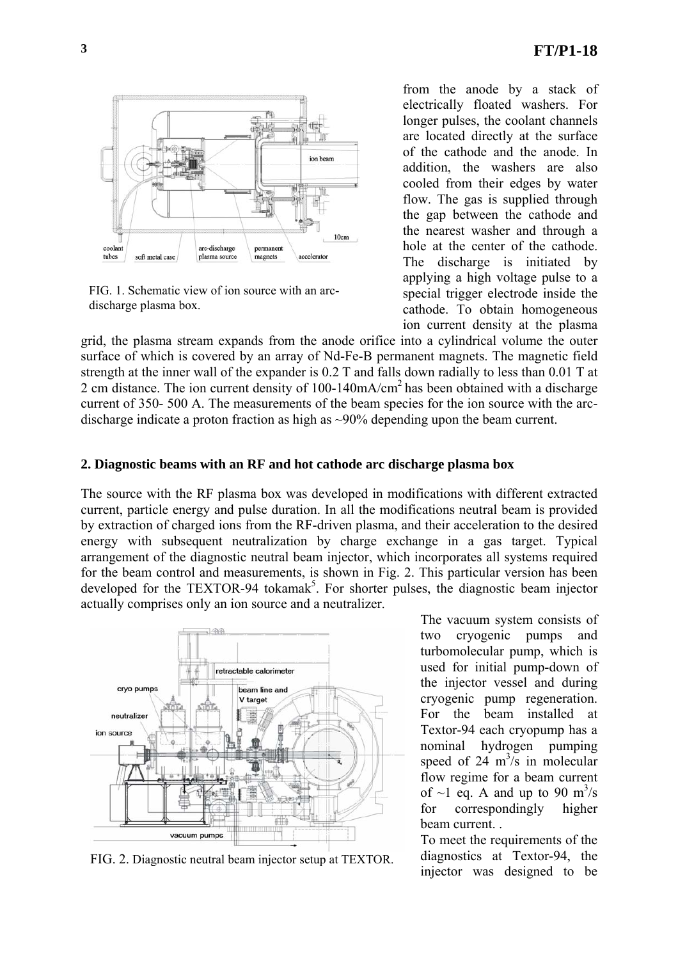

FIG. 1. Schematic view of ion source with an arcdischarge plasma box.

from the anode by a stack of electrically floated washers. For longer pulses, the coolant channels are located directly at the surface of the cathode and the anode. In addition, the washers are also cooled from their edges by water flow. The gas is supplied through the gap between the cathode and the nearest washer and through a hole at the center of the cathode. The discharge is initiated by applying a high voltage pulse to a special trigger electrode inside the cathode. To obtain homogeneous ion current density at the plasma

grid, the plasma stream expands from the anode orifice into a cylindrical volume the outer surface of which is covered by an array of Nd-Fe-B permanent magnets. The magnetic field strength at the inner wall of the expander is 0.2 T and falls down radially to less than 0.01 T at 2 cm distance. The ion current density of  $100-140$ mA/cm<sup>2</sup> has been obtained with a discharge current of 350- 500 A. The measurements of the beam species for the ion source with the arcdischarge indicate a proton fraction as high as ~90% depending upon the beam current.

### **2. Diagnostic beams with an RF and hot cathode arc discharge plasma box**

The source with the RF plasma box was developed in modifications with different extracted current, particle energy and pulse duration. In all the modifications neutral beam is provided by extraction of charged ions from the RF-driven plasma, and their acceleration to the desired energy with subsequent neutralization by charge exchange in a gas target. Typical arrangement of the diagnostic neutral beam injector, which incorporates all systems required for the beam control and measurements, is shown in Fig. 2. This particular version has been developed for the TEXTOR-94 tokamak<sup>5</sup>. For shorter pulses, the diagnostic beam injector actually comprises only an ion source and a neutralizer.



FIG. 2. Diagnostic neutral beam injector setup at TEXTOR.

The vacuum system consists of two cryogenic pumps and turbomolecular pump, which is used for initial pump-down of the injector vessel and during cryogenic pump regeneration. For the beam installed at Textor-94 each cryopump has a nominal hydrogen pumping speed of  $24 \text{ m}^3/\text{s}$  in molecular flow regime for a beam current of  $\sim$ 1 eq. A and up to 90 m<sup>3</sup>/s for correspondingly higher beam current. .

To meet the requirements of the diagnostics at Textor-94, the injector was designed to be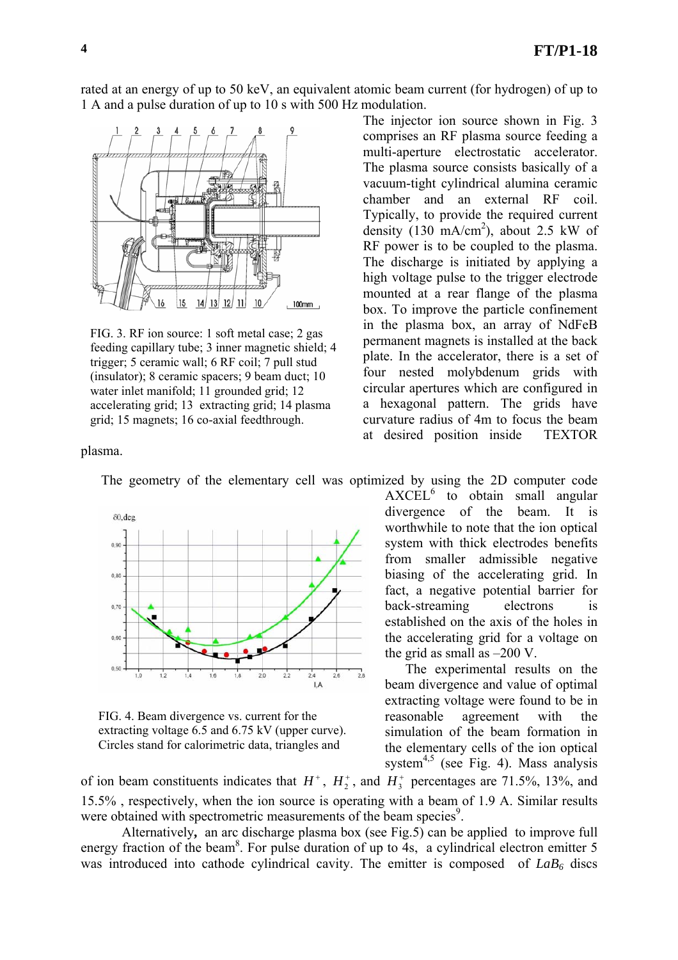rated at an energy of up to 50 keV, an equivalent atomic beam current (for hydrogen) of up to 1 A and a pulse duration of up to 10 s with 500 Hz modulation.



FIG. 3. RF ion source: 1 soft metal case; 2 gas feeding capillary tube; 3 inner magnetic shield; 4 trigger; 5 ceramic wall; 6 RF coil; 7 pull stud (insulator); 8 ceramic spacers; 9 beam duct; 10 water inlet manifold; 11 grounded grid; 12 accelerating grid; 13 extracting grid; 14 plasma grid; 15 magnets; 16 co-axial feedthrough.

The injector ion source shown in Fig. 3 comprises an RF plasma source feeding a multi-aperture electrostatic accelerator. The plasma source consists basically of a vacuum-tight cylindrical alumina ceramic chamber and an external RF coil. Typically, to provide the required current density  $(130 \text{ mA/cm}^2)$ , about 2.5 kW of RF power is to be coupled to the plasma. The discharge is initiated by applying a high voltage pulse to the trigger electrode mounted at a rear flange of the plasma box. To improve the particle confinement in the plasma box, an array of NdFeB permanent magnets is installed at the back plate. In the accelerator, there is a set of four nested molybdenum grids with circular apertures which are configured in a hexagonal pattern. The grids have curvature radius of 4m to focus the beam at desired position inside TEXTOR

plasma.



FIG. 4. Beam divergence vs. current for the extracting voltage 6.5 and 6.75 kV (upper curve). Circles stand for calorimetric data, triangles and

 $AXCEL<sup>6</sup>$  to obtain small angular divergence of the beam. It is worthwhile to note that the ion optical system with thick electrodes benefits from smaller admissible negative biasing of the accelerating grid. In fact, a negative potential barrier for back-streaming electrons is established on the axis of the holes in the accelerating grid for a voltage on the grid as small as  $-200$  V.

The experimental results on the beam divergence and value of optimal extracting voltage were found to be in reasonable agreement with the simulation of the beam formation in the elementary cells of the ion optical system $4,5$  (see Fig. 4). Mass analysis

of ion beam constituents indicates that  $H^+$ ,  $H_2^+$ , and  $H_3^+$  percentages are 71.5%, 13%, and 15.5% , respectively, when the ion source is operating with a beam of 1.9 A. Similar results were obtained with spectrometric measurements of the beam species<sup>9</sup>.

Alternatively**,** an arc discharge plasma box (see Fig.5) can be applied to improve full energy fraction of the beam<sup>8</sup>. For pulse duration of up to 4s, a cylindrical electron emitter 5 was introduced into cathode cylindrical cavity. The emitter is composed of  $LaB<sub>6</sub>$  discs

The geometry of the elementary cell was optimized by using the 2D computer code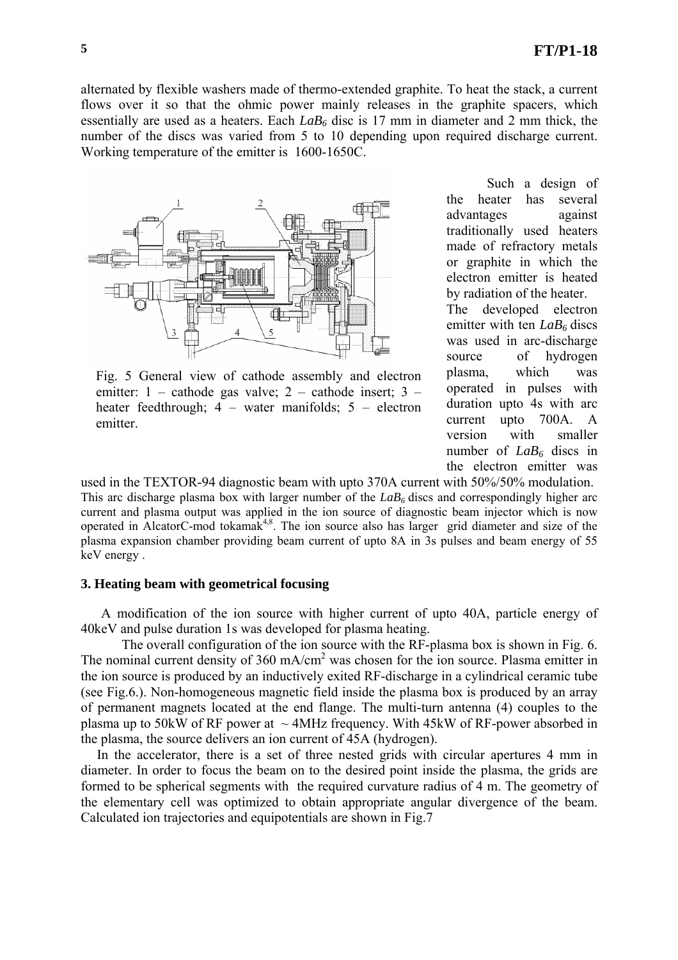alternated by flexible washers made of thermo-extended graphite. To heat the stack, a current flows over it so that the ohmic power mainly releases in the graphite spacers, which essentially are used as a heaters. Each *LaB6* disc is 17 mm in diameter and 2 mm thick, the number of the discs was varied from 5 to 10 depending upon required discharge current. Working temperature of the emitter is 1600-1650С.



Fig. 5 General view of cathode assembly and electron emitter: 1 – cathode gas valve; 2 – cathode insert; 3 – heater feedthrough; 4 – water manifolds; 5 – electron emitter.

Such a design of the heater has several advantages against traditionally used heaters made of refractory metals or graphite in which the electron emitter is heated by radiation of the heater. The developed electron emitter with ten *LaB*<sup>6</sup> discs was used in arc-discharge

source of hydrogen plasma, which was operated in pulses with duration upto 4s with arc current upto 700A. A version with smaller number of *LaB6* discs in the electron emitter was

used in the TEXTOR-94 diagnostic beam with upto 370A current with 50%/50% modulation. This arc discharge plasma box with larger number of the  $LaB<sub>6</sub>$  discs and correspondingly higher arc current and plasma output was applied in the ion source of diagnostic beam injector which is now operated in AlcatorC-mod tokama $k^{4,8}$ . The ion source also has larger grid diameter and size of the plasma expansion chamber providing beam current of upto 8A in 3s pulses and beam energy of 55 keV energy .

## **3. Heating beam with geometrical focusing**

A modification of the ion source with higher current of upto 40A, particle energy of 40keV and pulse duration 1s was developed for plasma heating.

The overall configuration of the ion source with the RF-plasma box is shown in Fig. 6. The nominal current density of  $360 \text{ mA/cm}^2$  was chosen for the ion source. Plasma emitter in the ion source is produced by an inductively exited RF-discharge in a cylindrical ceramic tube (see Fig.6.). Non-homogeneous magnetic field inside the plasma box is produced by an array of permanent magnets located at the end flange. The multi-turn antenna (4) couples to the plasma up to 50kW of RF power at  $\sim$  4MHz frequency. With 45kW of RF-power absorbed in the plasma, the source delivers an ion current of 45A (hydrogen).

In the accelerator, there is a set of three nested grids with circular apertures 4 mm in diameter. In order to focus the beam on to the desired point inside the plasma, the grids are formed to be spherical segments with the required curvature radius of 4 m. The geometry of the elementary cell was optimized to obtain appropriate angular divergence of the beam. Calculated ion trajectories and equipotentials are shown in Fig.7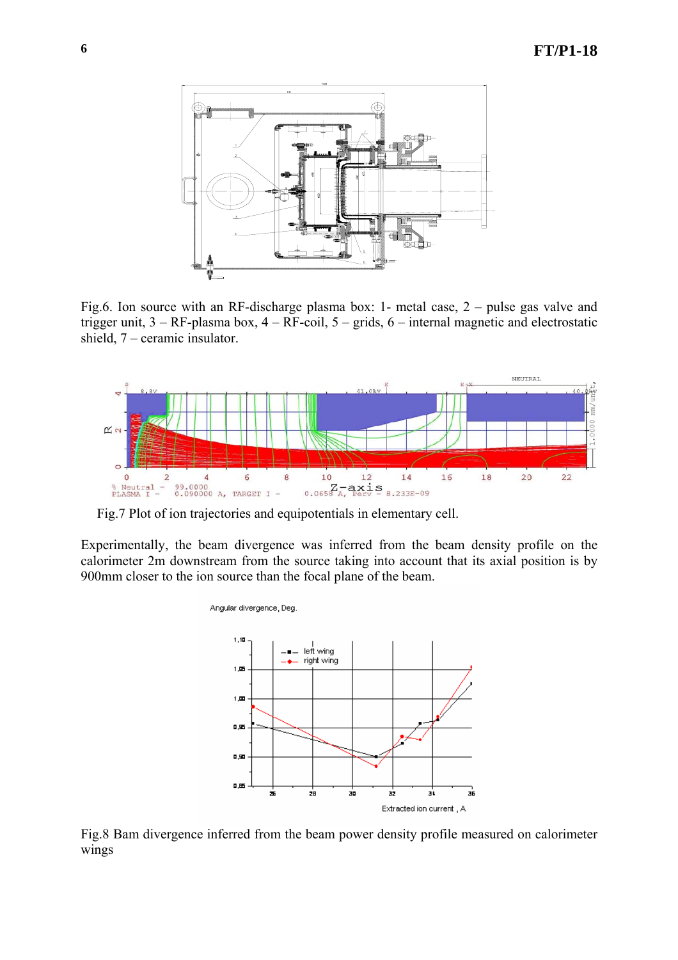

Fig.6. Ion source with an RF-discharge plasma box: 1- metal case, 2 – pulse gas valve and trigger unit, 3 – RF-plasma box, 4 – RF-coil, 5 – grids, 6 – internal magnetic and electrostatic shield, 7 – ceramic insulator.



Fig.7 Plot of ion trajectories and equipotentials in elementary cell.

Angular divergence, Deg.

Experimentally, the beam divergence was inferred from the beam density profile on the calorimeter 2m downstream from the source taking into account that its axial position is by 900mm closer to the ion source than the focal plane of the beam.

> $1,10$ left wing right wing  $1, 22$  $1.00$  $0, 95$ 0,90  $0, 05$ 36 28 30 a, ż 32 Extracted ion current, A

Fig.8 Bam divergence inferred from the beam power density profile measured on calorimeter wings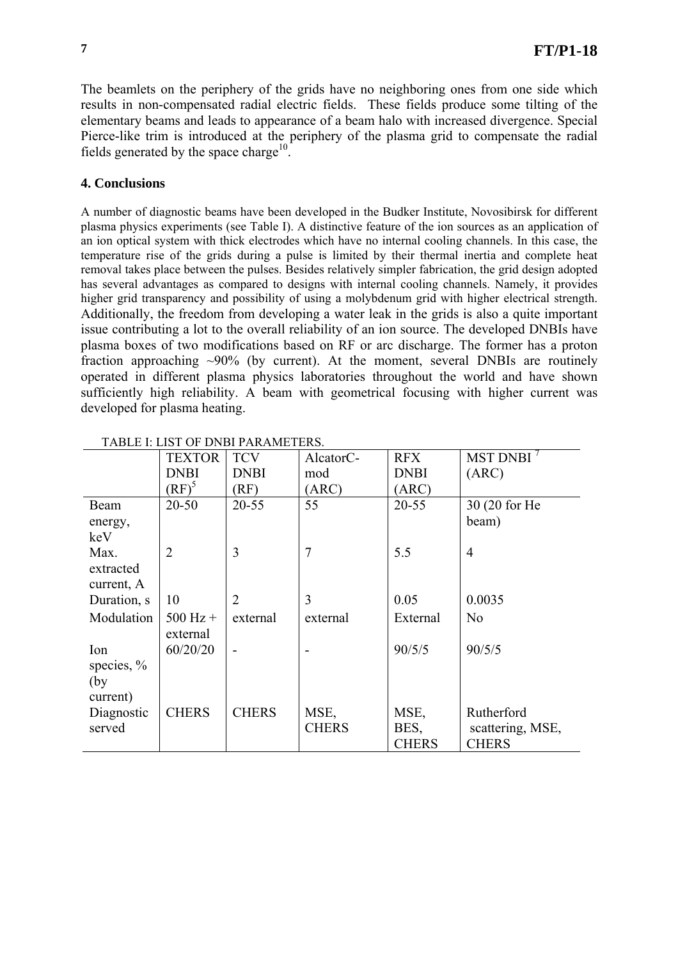The beamlets on the periphery of the grids have no neighboring ones from one side which results in non-compensated radial electric fields. These fields produce some tilting of the elementary beams and leads to appearance of a beam halo with increased divergence. Special Pierce-like trim is introduced at the periphery of the plasma grid to compensate the radial fields generated by the space charge<sup>10</sup>.

## **4. Conclusions**

A number of diagnostic beams have been developed in the Budker Institute, Novosibirsk for different plasma physics experiments (see Table I). A distinctive feature of the ion sources as an application of an ion optical system with thick electrodes which have no internal cooling channels. In this case, the temperature rise of the grids during a pulse is limited by their thermal inertia and complete heat removal takes place between the pulses. Besides relatively simpler fabrication, the grid design adopted has several advantages as compared to designs with internal cooling channels. Namely, it provides higher grid transparency and possibility of using a molybdenum grid with higher electrical strength. Additionally, the freedom from developing a water leak in the grids is also a quite important issue contributing a lot to the overall reliability of an ion source. The developed DNBIs have plasma boxes of two modifications based on RF or arc discharge. The former has a proton fraction approaching  $\sim 90\%$  (by current). At the moment, several DNBIs are routinely operated in different plasma physics laboratories throughout the world and have shown sufficiently high reliability. A beam with geometrical focusing with higher current was developed for plasma heating.

|              | <b>TEXTOR</b>     | <b>TCV</b>     | AlcatorC-      | <b>RFX</b>   | MST DNBI <sup>7</sup> |
|--------------|-------------------|----------------|----------------|--------------|-----------------------|
|              | <b>DNBI</b>       | <b>DNBI</b>    | mod            | <b>DNBI</b>  | (ARC)                 |
|              | $RF$ <sup>3</sup> | RF             | (ARC)          | (ARC)        |                       |
| Beam         | $20 - 50$         | $20 - 55$      | 55             | $20 - 55$    | 30 (20 for He         |
| energy,      |                   |                |                |              | beam)                 |
| keV          |                   |                |                |              |                       |
| Max.         | $\overline{2}$    | 3              | $\overline{7}$ | 5.5          | $\overline{4}$        |
| extracted    |                   |                |                |              |                       |
| current, A   |                   |                |                |              |                       |
| Duration, s  | 10                | $\overline{2}$ | 3              | 0.05         | 0.0035                |
| Modulation   | $500$ Hz +        | external       | external       | External     | N <sub>0</sub>        |
|              | external          |                |                |              |                       |
| Ion          | 60/20/20          |                |                | 90/5/5       | 90/5/5                |
| species, $%$ |                   |                |                |              |                       |
| (by)         |                   |                |                |              |                       |
| current)     |                   |                |                |              |                       |
| Diagnostic   | <b>CHERS</b>      | <b>CHERS</b>   | MSE,           | MSE,         | Rutherford            |
| served       |                   |                | <b>CHERS</b>   | BES,         | scattering, MSE,      |
|              |                   |                |                | <b>CHERS</b> | <b>CHERS</b>          |